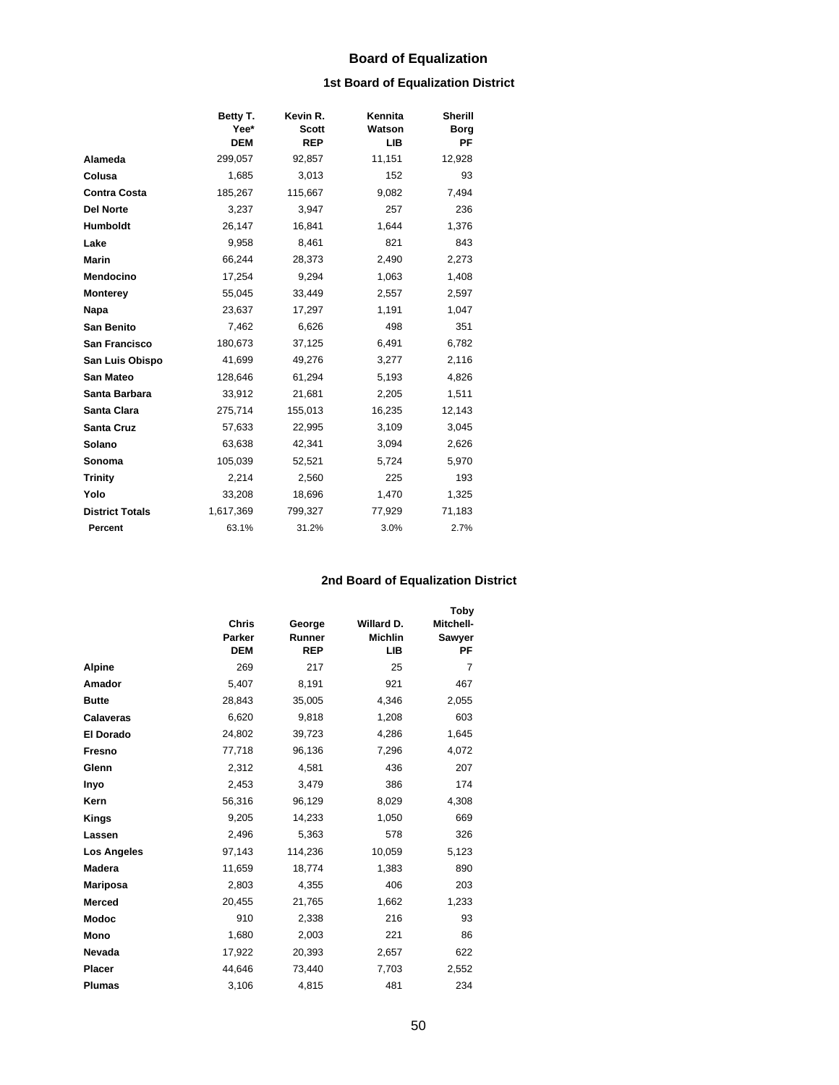# **Board of Equalization**

## **1st Board of Equalization District**

|                        | Betty T.<br>Yee*<br><b>DEM</b> | Kevin R.<br><b>Scott</b><br><b>REP</b> | Kennita<br>Watson<br>LIB | Sherill<br><b>Borg</b><br>ΡF |
|------------------------|--------------------------------|----------------------------------------|--------------------------|------------------------------|
| Alameda                | 299,057                        | 92,857                                 | 11,151                   | 12,928                       |
| Colusa                 | 1,685                          | 3,013                                  | 152                      | 93                           |
| <b>Contra Costa</b>    | 185,267                        | 115,667                                | 9,082                    | 7,494                        |
| <b>Del Norte</b>       | 3,237                          | 3,947                                  | 257                      | 236                          |
| Humboldt               | 26,147                         | 16,841                                 | 1,644                    | 1,376                        |
| Lake                   | 9,958                          | 8,461                                  | 821                      | 843                          |
| Marin                  | 66,244                         | 28,373                                 | 2,490                    | 2,273                        |
| Mendocino              | 17,254                         | 9,294                                  | 1,063                    | 1,408                        |
| <b>Monterey</b>        | 55,045                         | 33,449                                 | 2,557                    | 2,597                        |
| Napa                   | 23,637                         | 17,297                                 | 1,191                    | 1,047                        |
| <b>San Benito</b>      | 7,462                          | 6,626                                  | 498                      | 351                          |
| <b>San Francisco</b>   | 180,673                        | 37,125                                 | 6,491                    | 6,782                        |
| San Luis Obispo        | 41,699                         | 49,276                                 | 3,277                    | 2,116                        |
| <b>San Mateo</b>       | 128,646                        | 61,294                                 | 5,193                    | 4,826                        |
| Santa Barbara          | 33,912                         | 21,681                                 | 2,205                    | 1,511                        |
| Santa Clara            | 275,714                        | 155,013                                | 16,235                   | 12,143                       |
| <b>Santa Cruz</b>      | 57,633                         | 22,995                                 | 3,109                    | 3,045                        |
| Solano                 | 63,638                         | 42,341                                 | 3,094                    | 2,626                        |
| Sonoma                 | 105,039                        | 52,521                                 | 5,724                    | 5,970                        |
| <b>Trinity</b>         | 2,214                          | 2,560                                  | 225                      | 193                          |
| Yolo                   | 33,208                         | 18,696                                 | 1,470                    | 1,325                        |
| <b>District Totals</b> | 1,617,369                      | 799,327                                | 77,929                   | 71,183                       |
| Percent                | 63.1%                          | 31.2%                                  | 3.0%                     | 2.7%                         |

## **2nd Board of Equalization District**

|                    |              |            |                | Toby           |  |
|--------------------|--------------|------------|----------------|----------------|--|
|                    | <b>Chris</b> | George     | Willard D.     | Mitchell-      |  |
|                    | Parker       | Runner     | <b>Michlin</b> | Sawyer         |  |
|                    | <b>DEM</b>   | <b>REP</b> | LІB            | РF             |  |
| <b>Alpine</b>      | 269          | 217        | 25             | $\overline{7}$ |  |
| Amador             | 5,407        | 8,191      | 921            | 467            |  |
| <b>Butte</b>       | 28,843       | 35,005     | 4,346          | 2,055          |  |
| <b>Calaveras</b>   | 6,620        | 9,818      | 1,208          | 603            |  |
| El Dorado          | 24,802       | 39,723     | 4,286          | 1,645          |  |
| Fresno             | 77,718       | 96,136     | 7,296          | 4,072          |  |
| Glenn              | 2,312        | 4,581      | 436            | 207            |  |
| Inyo               | 2,453        | 3,479      | 386            | 174            |  |
| Kern               | 56,316       | 96,129     | 8,029          | 4,308          |  |
| Kings              | 9,205        | 14,233     | 1,050          | 669            |  |
| Lassen             | 2,496        | 5,363      | 578            | 326            |  |
| <b>Los Angeles</b> | 97,143       | 114,236    | 10,059         | 5,123          |  |
| <b>Madera</b>      | 11,659       | 18,774     | 1,383          | 890            |  |
| Mariposa           | 2,803        | 4,355      | 406            | 203            |  |
| <b>Merced</b>      | 20,455       | 21,765     | 1,662          | 1,233          |  |
| <b>Modoc</b>       | 910          | 2,338      | 216            | 93             |  |
| Mono               | 1,680        | 2,003      | 221            | 86             |  |
| Nevada             | 17,922       | 20,393     | 2,657          | 622            |  |
| Placer             | 44,646       | 73,440     | 7,703          | 2,552          |  |
| <b>Plumas</b>      | 3,106        | 4,815      | 481            | 234            |  |